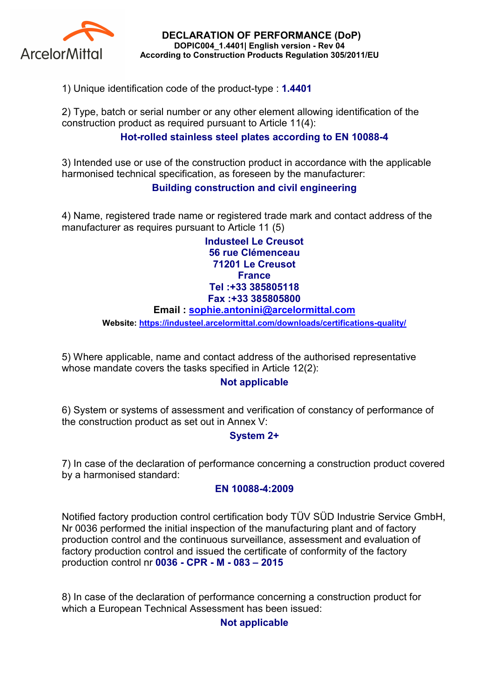

DECLARATION OF PERFORMANCE (DoP) DOPIC004\_1.4401| English version - Rev 04 According to Construction Products Regulation 305/2011/EU

1) Unique identification code of the product-type : 1.4401

2) Type, batch or serial number or any other element allowing identification of the construction product as required pursuant to Article 11(4):

# Hot-rolled stainless steel plates according to EN 10088-4

3) Intended use or use of the construction product in accordance with the applicable harmonised technical specification, as foreseen by the manufacturer:

## Building construction and civil engineering

4) Name, registered trade name or registered trade mark and contact address of the manufacturer as requires pursuant to Article 11 (5)

> Industeel Le Creusot 56 rue Clémenceau 71201 Le Creusot **France** Tel :+33 385805118 Fax :+33 385805800

#### Email : sophie.antonini@arcelormittal.com

Website: https://industeel.arcelormittal.com/downloads/certifications-quality/

5) Where applicable, name and contact address of the authorised representative whose mandate covers the tasks specified in Article 12(2):

## Not applicable

6) System or systems of assessment and verification of constancy of performance of the construction product as set out in Annex V:

## System 2+

7) In case of the declaration of performance concerning a construction product covered by a harmonised standard:

#### EN 10088-4:2009

Notified factory production control certification body TÜV SÜD Industrie Service GmbH, Nr 0036 performed the initial inspection of the manufacturing plant and of factory production control and the continuous surveillance, assessment and evaluation of factory production control and issued the certificate of conformity of the factory production control nr 0036 - CPR - M - 083 – 2015

8) In case of the declaration of performance concerning a construction product for which a European Technical Assessment has been issued:

## Not applicable